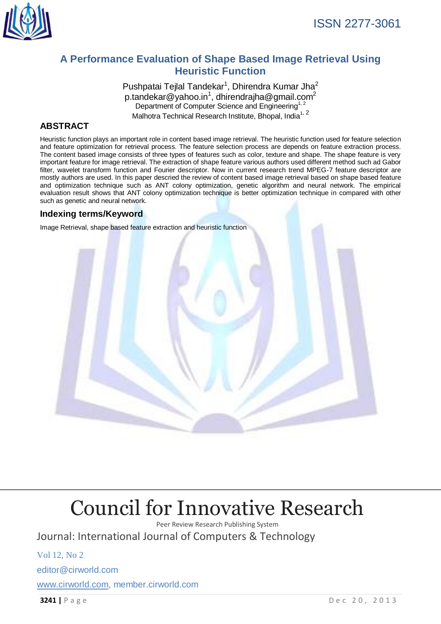

## **A Performance Evaluation of Shape Based Image Retrieval Using Heuristic Function**

Pushpatai Tejlal Tandekar<sup>1</sup>, Dhirendra Kumar Jha<sup>2</sup> p.tandekar@yahoo.in<sup>1</sup>, [dhirendrajha@gmail.com](mailto:dhirendrajha@gmail.com2)<sup>2</sup> Department of Computer Science and Engineering<sup>1, 2</sup> Malhotra Technical Research Institute, Bhopal, India<sup>1, 2</sup>

## **ABSTRACT**

Heuristic function plays an important role in content based image retrieval. The heuristic function used for feature selection and feature optimization for retrieval process. The feature selection process are depends on feature extraction process. The content based image consists of three types of features such as color, texture and shape. The shape feature is very important feature for image retrieval. The extraction of shape feature various authors used different method such ad Gabor filter, wavelet transform function and Fourier descriptor. Now in current research trend MPEG-7 feature descriptor are mostly authors are used. In this paper descried the review of content based image retrieval based on shape based feature and optimization technique such as ANT colony optimization, genetic algorithm and neural network. The empirical evaluation result shows that ANT colony optimization technique is better optimization technique in compared with other such as genetic and neural network.

### **Indexing terms/Keyword**

Image Retrieval, shape based feature extraction and heuristic function



# [Council for Innovative Research](http://member.cirworld.com/)

Peer Review Research Publishing System Journal: International Journal of Computers & Technology

Vol 12, No 2 editor@cirworld.com [www.cirworld.com, me](http://www.cirworld.com/)mber.cirworld.com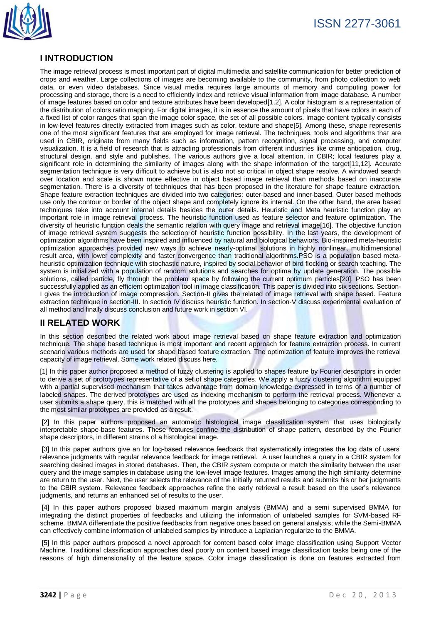

### **I INTRODUCTION**

The image retrieval process is most important part of digital multimedia and satellite communication for better prediction of crops and weather. Large collections of images are becoming available to the community, from photo collection to web data, or even video databases. Since visual media requires large amounts of memory and computing power for processing and storage, there is a need to efficiently index and retrieve visual information from image database. A number of image features based on color and texture attributes have been developed[1,2]. A color histogram is a representation of the distribution of colors ratio mapping. For digital images, it is in essence the amount of pixels that have colors in each of a fixed list of color ranges that span the image color space, the set of all possible colors. Image content typically consists in low-level features directly extracted from images such as color, texture and shape[5]. Among these, shape represents one of the most significant features that are employed for image retrieval. The techniques, tools and algorithms that are used in CBIR, originate from many fields such as information, pattern recognition, signal processing, and computer visualization. It is a field of research that is attracting professionals from different industries like crime anticipation, drug, structural design, and style and publishes. The various authors give a local attention, in CBIR; local features play a significant role in determining the similarity of images along with the shape information of the target[11,12]. Accurate segmentation technique is very difficult to achieve but is also not so critical in object shape resolve. A windowed search over location and scale is shown more effective in object based image retrieval than methods based on inaccurate segmentation. There is a diversity of techniques that has been proposed in the literature for shape feature extraction. Shape feature extraction techniques are divided into two categories: outer-based and inner-based. Outer based methods use only the contour or border of the object shape and completely ignore its internal. On the other hand, the area based techniques take into account internal details besides the outer details. Heuristic and Meta heuristic function play an important role in image retrieval process. The heuristic function used as feature selector and feature optimization. The diversity of heuristic function deals the semantic relation with query image and retrieval image[16]. The objective function of image retrieval system suggests the selection of heuristic function possibility. In the last years, the development of optimization algorithms have been inspired and influenced by natural and biological behaviors. Bio-inspired meta-heuristic optimization approaches provided new ways to achieve nearly-optimal solutions in highly nonlinear, multidimensional result area, with lower complexity and faster convergence than traditional algorithms.PSO is a population based metaheuristic optimization technique with stochastic nature, inspired by social behavior of bird flocking or search teaching. The system is initialized with a population of random solutions and searches for optima by update generation. The possible solutions, called particle, fly through the problem space by following the current optimum particles[20]. PSO has been successfully applied as an efficient optimization tool in image classification. This paper is divided into six sections. Section-I gives the introduction of image compression. Section-II gives the related of image retrieval with shape based. Feature extraction technique in section-III. In section IV discuss heuristic function. In section-V discuss experimental evaluation of all method and finally discuss conclusion and future work in section VI.

### **II RELATED WORK**

In this section described the related work about image retrieval based on shape feature extraction and optimization technique. The shape based technique is most important and recent approach for feature extraction process. In current scenario various methods are used for shape based feature extraction. The optimization of feature improves the retrieval capacity of image retrieval. Some work related discuss here.

[1] In this paper author proposed a method of fuzzy clustering is applied to shapes feature by Fourier descriptors in order to derive a set of prototypes representative of a set of shape categories. We apply a fuzzy clustering algorithm equipped with a partial supervised mechanism that takes advantage from domain knowledge expressed in terms of a number of labeled shapes. The derived prototypes are used as indexing mechanism to perform the retrieval process. Whenever a user submits a shape query, this is matched with all the prototypes and shapes belonging to categories corresponding to the most similar prototypes are provided as a result.

[2] In this paper authors proposed an automatic histological image classification system that uses biologically interpretable shape-base features. These features confine the distribution of shape pattern, described by the Fourier shape descriptors, in different strains of a histological image.

[3] In this paper authors give an for log-based relevance feedback that systematically integrates the log data of users' relevance judgments with regular relevance feedback for image retrieval. A user launches a query in a CBIR system for searching desired images in stored databases. Then, the CBIR system compute or match the similarity between the user query and the image samples in database using the low-level image features. Images among the high similarity determine are return to the user. Next, the user selects the relevance of the initially returned results and submits his or her judgments to the CBIR system. Relevance feedback approaches refine the early retrieval a result based on the user's relevance judgments, and returns an enhanced set of results to the user.

[4] In this paper authors proposed biased maximum margin analysis (BMMA) and a semi supervised BMMA for integrating the distinct properties of feedbacks and utilizing the information of unlabeled samples for SVM-based RF scheme. BMMA differentiate the positive feedbacks from negative ones based on general analysis; while the Semi-BMMA can effectively combine information of unlabeled samples by introduce a Laplacian regularize to the BMMA.

[5] In this paper authors proposed a novel approach for content based color image classification using Support Vector Machine. Traditional classification approaches deal poorly on content based image classification tasks being one of the reasons of high dimensionality of the feature space. Color image classification is done on features extracted from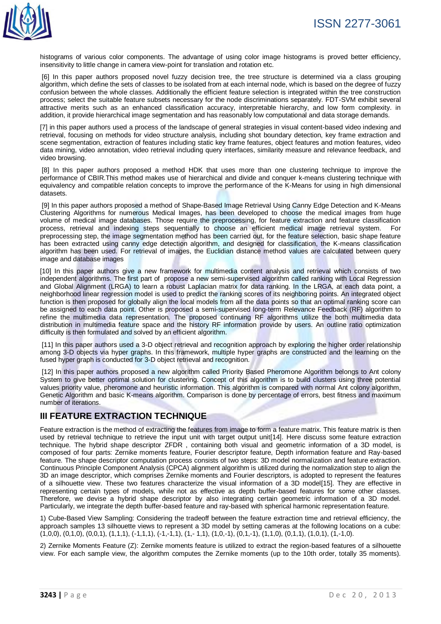

histograms of various color components. The advantage of using color image histograms is proved better efficiency, insensitivity to little change in camera view-point for translation and rotation etc.

[6] In this paper authors proposed novel fuzzy decision tree, the tree structure is determined via a class grouping algorithm, which define the sets of classes to be isolated from at each internal node, which is based on the degree of fuzzy confusion between the whole classes. Additionally the efficient feature selection is integrated within the tree construction process; select the suitable feature subsets necessary for the node discriminations separately. FDT-SVM exhibit several attractive merits such as an enhanced classification accuracy, interpretable hierarchy, and low form complexity. in addition, it provide hierarchical image segmentation and has reasonably low computational and data storage demands.

[7] in this paper authors used a process of the landscape of general strategies in visual content-based video indexing and retrieval, focusing on methods for video structure analysis, including shot boundary detection, key frame extraction and scene segmentation, extraction of features including static key frame features, object features and motion features, video data mining, video annotation, video retrieval including query interfaces, similarity measure and relevance feedback, and video browsing.

[8] In this paper authors proposed a method HDK that uses more than one clustering technique to improve the performance of CBIR.This method makes use of hierarchical and divide and conquer k-means clustering technique with equivalency and compatible relation concepts to improve the performance of the K-Means for using in high dimensional datasets.

[9] In this paper authors proposed a method of Shape-Based Image Retrieval Using Canny Edge Detection and K-Means Clustering Algorithms for numerous Medical Images, has been developed to choose the medical images from huge volume of medical image databases. Those require the preprocessing, for feature extraction and feature classification process, retrieval and indexing steps sequentially to choose an efficient medical image retrieval system. For preprocessing step, the image segmentation method has been carried out, for the feature selection, basic shape feature has been extracted using canny edge detection algorithm, and designed for classification, the K-means classification algorithm has been used. For retrieval of images, the Euclidian distance method values are calculated between query image and database images

[10] In this paper authors give a new framework for multimedia content analysis and retrieval which consists of two independent algorithms. The first part of propose a new semi-supervised algorithm called ranking with Local Regression and Global Alignment (LRGA) to learn a robust Laplacian matrix for data ranking. In the LRGA, at each data point, a neighborhood linear regression model is used to predict the ranking scores of its neighboring points. An integrated object function is then proposed for globally align the local models from all the data points so that an optimal ranking score can be assigned to each data point. Other is proposed a semi-supervised long-term Relevance Feedback (RF) algorithm to refine the multimedia data representation. The proposed continuing RF algorithms utilize the both multimedia data distribution in multimedia feature space and the history RF information provide by users. An outline ratio optimization difficulty is then formulated and solved by an efficient algorithm.

[11] In this paper authors used a 3-D object retrieval and recognition approach by exploring the higher order relationship among 3-D objects via hyper graphs. In this framework, multiple hyper graphs are constructed and the learning on the fused hyper graph is conducted for 3-D object retrieval and recognition.

[12] In this paper authors proposed a new algorithm called Priority Based Pheromone Algorithm belongs to Ant colony System to give better optimal solution for clustering. Concept of this algorithm is to build clusters using three potential values priority value, pheromone and heuristic information. This algorithm is compared with normal Ant colony algorithm, Genetic Algorithm and basic K-means algorithm. Comparison is done by percentage of errors, best fitness and maximum number of iterations.

### **III FEATURE EXTRACTION TECHNIQUE**

Feature extraction is the method of extracting the features from image to form a feature matrix. This feature matrix is then used by retrieval technique to retrieve the input unit with target output unit[14]. Here discuss some feature extraction technique. The hybrid shape descriptor ZFDR , containing both visual and geometric information of a 3D model, is composed of four parts: Zernike moments feature, Fourier descriptor feature, Depth information feature and Ray-based feature. The shape descriptor computation process consists of two steps: 3D model normalization and feature extraction. Continuous Principle Component Analysis (CPCA) alignment algorithm is utilized during the normalization step to align the 3D an image descriptor, which comprises Zernike moments and Fourier descriptors, is adopted to represent the features of a silhouette view. These two features characterize the visual information of a 3D model[15]. They are effective in representing certain types of models, while not as effective as depth buffer-based features for some other classes. Therefore, we devise a hybrid shape descriptor by also integrating certain geometric information of a 3D model. Particularly, we integrate the depth buffer-based feature and ray-based with spherical harmonic representation feature.

1) Cube-Based View Sampling: Considering the tradeoff between the feature extraction time and retrieval efficiency, the approach samples 13 silhouette views to represent a 3D model by setting cameras at the following locations on a cube:  $(1,0,0)$ ,  $(0,1,0)$ ,  $(0,0,1)$ ,  $(1,1,1)$ ,  $(-1,1,1)$ ,  $(-1,-1,1)$ ,  $(1,-1,1)$ ,  $(1,0,-1)$ ,  $(0,1,-1)$ ,  $(1,1,0)$ ,  $(0,1,1)$ ,  $(1,0,1)$ ,  $(1,-1,0)$ .

2) Zernike Moments Feature (Z): Zernike moments feature is utilized to extract the region-based features of a silhouette view. For each sample view, the algorithm computes the Zernike moments (up to the 10th order, totally 35 moments).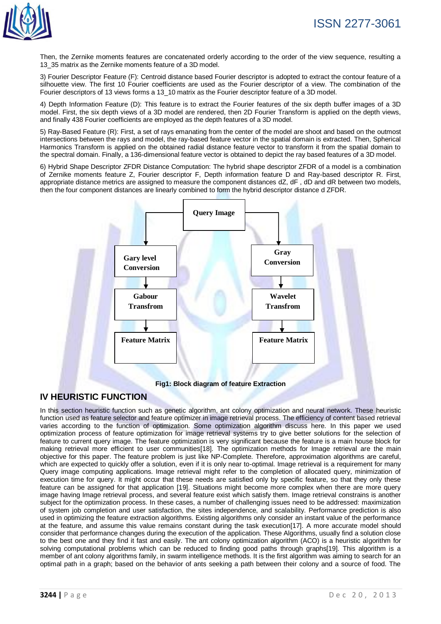

Then, the Zernike moments features are concatenated orderly according to the order of the view sequence, resulting a 13\_35 matrix as the Zernike moments feature of a 3D model.

3) Fourier Descriptor Feature (F): Centroid distance based Fourier descriptor is adopted to extract the contour feature of a silhouette view. The first 10 Fourier coefficients are used as the Fourier descriptor of a view. The combination of the Fourier descriptors of 13 views forms a 13\_10 matrix as the Fourier descriptor feature of a 3D model.

4) Depth Information Feature (D): This feature is to extract the Fourier features of the six depth buffer images of a 3D model. First, the six depth views of a 3D model are rendered, then 2D Fourier Transform is applied on the depth views, and finally 438 Fourier coefficients are employed as the depth features of a 3D model.

5) Ray-Based Feature (R): First, a set of rays emanating from the center of the model are shoot and based on the outmost intersections between the rays and model, the ray-based feature vector in the spatial domain is extracted. Then, Spherical Harmonics Transform is applied on the obtained radial distance feature vector to transform it from the spatial domain to the spectral domain. Finally, a 136-dimensional feature vector is obtained to depict the ray based features of a 3D model.

6) Hybrid Shape Descriptor ZFDR Distance Computation: The hybrid shape descriptor ZFDR of a model is a combination of Zernike moments feature Z, Fourier descriptor F, Depth information feature D and Ray-based descriptor R. First, appropriate distance metrics are assigned to measure the component distances dZ, dF , dD and dR between two models, then the four component distances are linearly combined to form the hybrid descriptor distance d ZFDR.



#### **IV HEURISTIC FUNCTION**

In this section heuristic function such as genetic algorithm, ant colony optimization and neural network. These heuristic function used as feature selector and feature optimizer in image retrieval process. The efficiency of content based retrieval varies according to the function of optimization. Some optimization algorithm discuss here. In this paper we used optimization process of feature optimization for image retrieval systems try to give better solutions for the selection of feature to current query image. The feature optimization is very significant because the feature is a main house block for making retrieval more efficient to user communities[18]. The optimization methods for Image retrieval are the main objective for this paper. The feature problem is just like NP-Complete. Therefore, approximation algorithms are careful, which are expected to quickly offer a solution, even if it is only near to-optimal. Image retrieval is a requirement for many Query image computing applications. Image retrieval might refer to the completion of allocated query, minimization of execution time for query. It might occur that these needs are satisfied only by specific feature, so that they only these feature can be assigned for that application [19]. Situations might become more complex when there are more query image having Image retrieval process, and several feature exist which satisfy them. Image retrieval constrains is another subject for the optimization process. In these cases, a number of challenging issues need to be addressed: maximization of system job completion and user satisfaction, the sites independence, and scalability. Performance prediction is also used in optimizing the feature extraction algorithms. Existing algorithms only consider an instant value of the performance at the feature, and assume this value remains constant during the task execution[17]. A more accurate model should consider that performance changes during the execution of the application. These Algorithms, usually find a solution close to the best one and they find it fast and easily. The ant colony optimization algorithm (ACO) is a heuristic algorithm for solving computational problems which can be reduced to finding good paths through graphs[19]. This algorithm is a member of ant colony algorithms family, in swarm intelligence methods. It is the first algorithm was aiming to search for an optimal path in a graph; based on the behavior of ants seeking a path between their colony and a source of food. The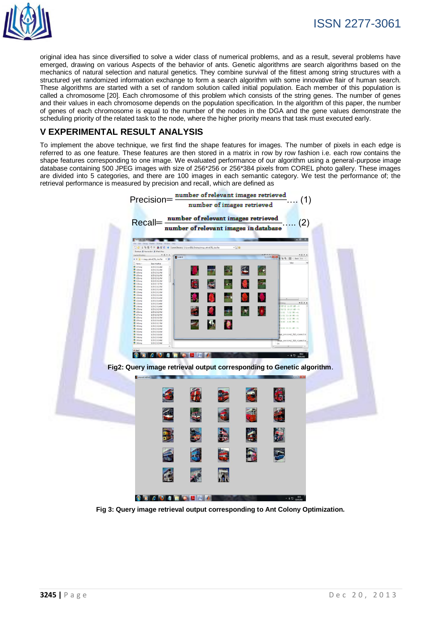

original idea has since diversified to solve a wider class of numerical problems, and as a result, several problems have emerged, drawing on various Aspects of the behavior of ants. Genetic algorithms are search algorithms based on the mechanics of natural selection and natural genetics. They combine survival of the fittest among string structures with a structured yet randomized information exchange to form a search algorithm with some innovative flair of human search. These algorithms are started with a set of random solution called initial population. Each member of this population is called a chromosome [20]. Each chromosome of this problem which consists of the string genes. The number of genes and their values in each chromosome depends on the population specification. In the algorithm of this paper, the number of genes of each chromosome is equal to the number of the nodes in the DGA and the gene values demonstrate the scheduling priority of the related task to the node, where the higher priority means that task must executed early.

### **V EXPERIMENTAL RESULT ANALYSIS**

To implement the above technique, we first find the shape features for images. The number of pixels in each edge is referred to as one feature. These features are then stored in a matrix in row by row fashion i.e. each row contains the shape features corresponding to one image. We evaluated performance of our algorithm using a general-purpose image database containing 500 JPEG images with size of 256\*256 or 256\*384 pixels from COREL photo gallery. These images are divided into 5 categories, and there are 100 images in each semantic category. We test the performance of; the retrieval performance is measured by precision and recall, which are defined as



**Fig 3: Query image retrieval output corresponding to Ant Colony Optimization.**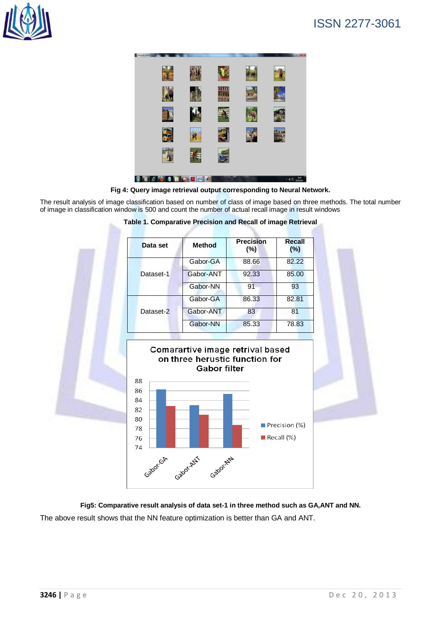





The result analysis of image classification based on number of class of image based on three methods. The total number of image in classification window is 500 and count the number of actual recall image in result windows

| Data set  | <b>Method</b> | <b>Precision</b><br>$(\% )$ | Recall<br>(%) |
|-----------|---------------|-----------------------------|---------------|
| Dataset-1 | Gabor-GA      | 88.66                       | 82.22         |
|           | Gabor-ANT     | 92.33                       | 85.00         |
|           | Gabor-NN      | 91                          | 93            |
| Dataset-2 | Gabor-GA      | 86.33                       | 82.81         |
|           | Gabor-ANT     | 83                          | 81            |
|           | Gabor-NN      | 85.33                       | 78.83         |

#### **Table 1. Comparative Precision and Recall of image Retrieval**



**Fig5: Comparative result analysis of data set-1 in three method such as GA,ANT and NN.** The above result shows that the NN feature optimization is better than GA and ANT.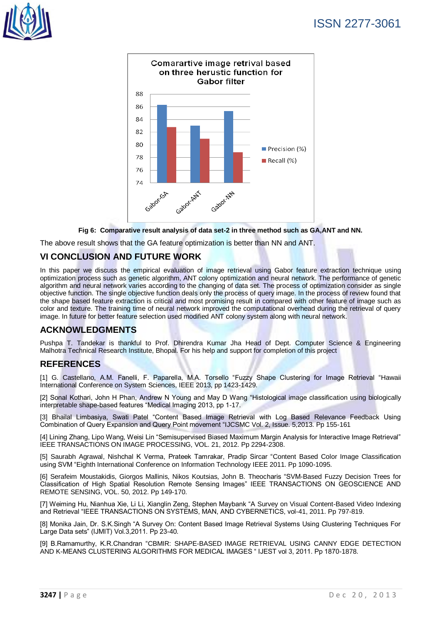





The above result shows that the GA feature optimization is better than NN and ANT.

#### **VI CONCLUSION AND FUTURE WORK**

In this paper we discuss the empirical evaluation of image retrieval using Gabor feature extraction technique using optimization process such as genetic algorithm, ANT colony optimization and neural network. The performance of genetic algorithm and neural network varies according to the changing of data set. The process of optimization consider as single objective function. The single objective function deals only the process of query image. In the process of review found that the shape based feature extraction is critical and most promising result in compared with other feature of image such as color and texture. The training time of neural network improved the computational overhead during the retrieval of query image. In future for better feature selection used modified ANT colony system along with neural network.

### **ACKNOWLEDGMENTS**

Pushpa T. Tandekar is thankful to Prof. Dhirendra Kumar Jha Head of Dept. Computer Science & Engineering Malhotra Technical Research Institute, Bhopal. For his help and support for completion of this project

#### **REFERENCES**

[1] G. Castellano, A.M. Fanelli, F. Paparella, M.A. Torsello "Fuzzy Shape Clustering for Image Retrieval "Hawaii International Conference on System Sciences, IEEE 2013, pp 1423-1429.

[2] Sonal Kothari, John H Phan, Andrew N Young and May D Wang "Histological image classification using biologically interpretable shape-based features "Medical Imaging 2013, pp 1-17.

[3] Bhailal Limbasiya, Swati Patel "Content Based Image Retrieval with Log Based Relevance Feedback Using Combination of Query Expansion and Query Point movement "IJCSMC Vol. 2, Issue. 5,2013. Pp 155-161

[4] Lining Zhang, Lipo Wang, Weisi Lin "Semisupervised Biased Maximum Margin Analysis for Interactive Image Retrieval" IEEE TRANSACTIONS ON IMAGE PROCESSING, VOL. 21, 2012. Pp 2294-2308.

[5] Saurabh Agrawal, Nishchal K Verma, Prateek Tamrakar, Pradip Sircar "Content Based Color Image Classification using SVM "Eighth International Conference on Information Technology IEEE 2011. Pp 1090-1095.

[6] Serafeim Moustakidis, Giorgos Mallinis, Nikos Koutsias, John B. Theocharis "SVM-Based Fuzzy Decision Trees for Classification of High Spatial Resolution Remote Sensing Images" IEEE TRANSACTIONS ON GEOSCIENCE AND REMOTE SENSING, VOL. 50, 2012. Pp 149-170.

[7] Weiming Hu, Nianhua Xie, Li Li, Xianglin Zeng, Stephen Maybank "A Survey on Visual Content-Based Video Indexing and Retrieval "IEEE TRANSACTIONS ON SYSTEMS, MAN, AND CYBERNETICS, vol-41, 2011. Pp 797-819.

[8] Monika Jain, Dr. S.K.Singh "A Survey On: Content Based Image Retrieval Systems Using Clustering Techniques For Large Data sets" (IJMIT) Vol.3,2011. Pp 23-40.

[9] B.Ramamurthy, K.R.Chandran "CBMIR: SHAPE-BASED IMAGE RETRIEVAL USING CANNY EDGE DETECTION AND K-MEANS CLUSTERING ALGORITHMS FOR MEDICAL IMAGES " IJEST vol 3, 2011. Pp 1870-1878.